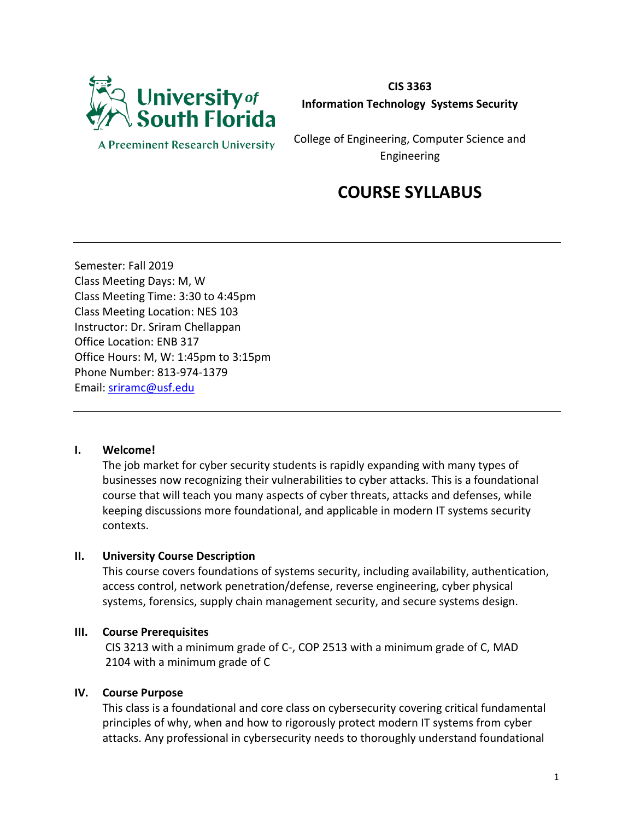

**A Preeminent Research University** 

**CIS 3363 Information Technology Systems Security**

College of Engineering, Computer Science and Engineering

# **COURSE SYLLABUS**

Semester: Fall 2019 Class Meeting Days: M, W Class Meeting Time: 3:30 to 4:45pm Class Meeting Location: NES 103 Instructor: Dr. Sriram Chellappan Office Location: ENB 317 Office Hours: M, W: 1:45pm to 3:15pm Phone Number: 813-974-1379 Email: [sriramc@usf.edu](mailto:sriramc@usf.edu)

#### **I. Welcome!**

The job market for cyber security students is rapidly expanding with many types of businesses now recognizing their vulnerabilities to cyber attacks. This is a foundational course that will teach you many aspects of cyber threats, attacks and defenses, while keeping discussions more foundational, and applicable in modern IT systems security contexts.

## **II. University Course Description**

This course covers foundations of systems security, including availability, authentication, access control, network penetration/defense, reverse engineering, cyber physical systems, forensics, supply chain management security, and secure systems design.

## **III. Course Prerequisites**

[CIS 3213](https://www.systemacademics.usf.edu/course-inventory/?output=detail&subj=CIS&num=3213) with a minimum grade of C-, [COP 2513](https://www.systemacademics.usf.edu/course-inventory/?output=detail&subj=COP&num=2513) with a minimum grade of C, [MAD](https://www.systemacademics.usf.edu/course-inventory/?output=detail&subj=MAD&num=2104)  [2104](https://www.systemacademics.usf.edu/course-inventory/?output=detail&subj=MAD&num=2104) with a minimum grade of C

#### **IV. Course Purpose**

This class is a foundational and core class on cybersecurity covering critical fundamental principles of why, when and how to rigorously protect modern IT systems from cyber attacks. Any professional in cybersecurity needs to thoroughly understand foundational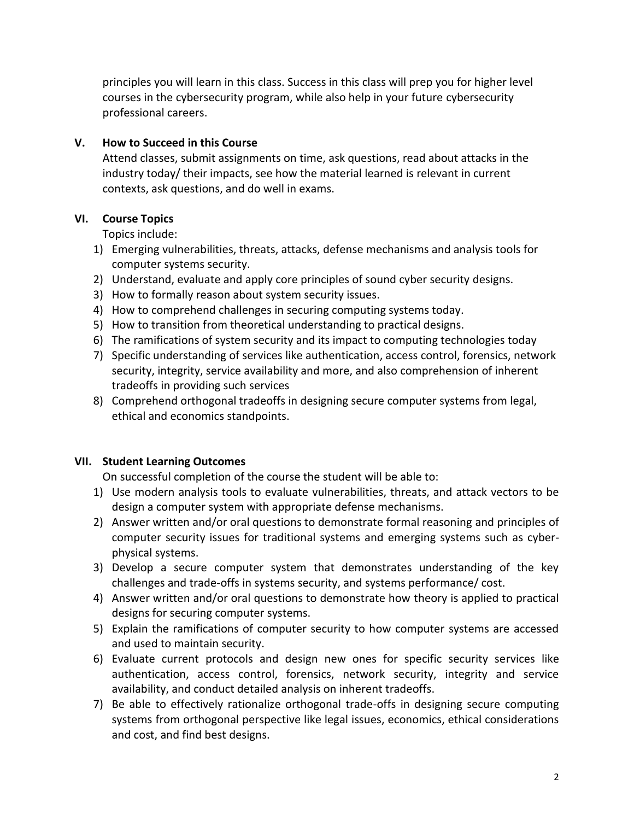principles you will learn in this class. Success in this class will prep you for higher level courses in the cybersecurity program, while also help in your future cybersecurity professional careers.

# **V. How to Succeed in this Course**

Attend classes, submit assignments on time, ask questions, read about attacks in the industry today/ their impacts, see how the material learned is relevant in current contexts, ask questions, and do well in exams.

# **VI. Course Topics**

Topics include:

- 1) Emerging vulnerabilities, threats, attacks, defense mechanisms and analysis tools for computer systems security.
- 2) Understand, evaluate and apply core principles of sound cyber security designs.
- 3) How to formally reason about system security issues.
- 4) How to comprehend challenges in securing computing systems today.
- 5) How to transition from theoretical understanding to practical designs.
- 6) The ramifications of system security and its impact to computing technologies today
- 7) Specific understanding of services like authentication, access control, forensics, network security, integrity, service availability and more, and also comprehension of inherent tradeoffs in providing such services
- 8) Comprehend orthogonal tradeoffs in designing secure computer systems from legal, ethical and economics standpoints.

## **VII. Student Learning Outcomes**

On successful completion of the course the student will be able to:

- 1) Use modern analysis tools to evaluate vulnerabilities, threats, and attack vectors to be design a computer system with appropriate defense mechanisms.
- 2) Answer written and/or oral questions to demonstrate formal reasoning and principles of computer security issues for traditional systems and emerging systems such as cyberphysical systems.
- 3) Develop a secure computer system that demonstrates understanding of the key challenges and trade-offs in systems security, and systems performance/ cost.
- 4) Answer written and/or oral questions to demonstrate how theory is applied to practical designs for securing computer systems.
- 5) Explain the ramifications of computer security to how computer systems are accessed and used to maintain security.
- 6) Evaluate current protocols and design new ones for specific security services like authentication, access control, forensics, network security, integrity and service availability, and conduct detailed analysis on inherent tradeoffs.
- 7) Be able to effectively rationalize orthogonal trade-offs in designing secure computing systems from orthogonal perspective like legal issues, economics, ethical considerations and cost, and find best designs.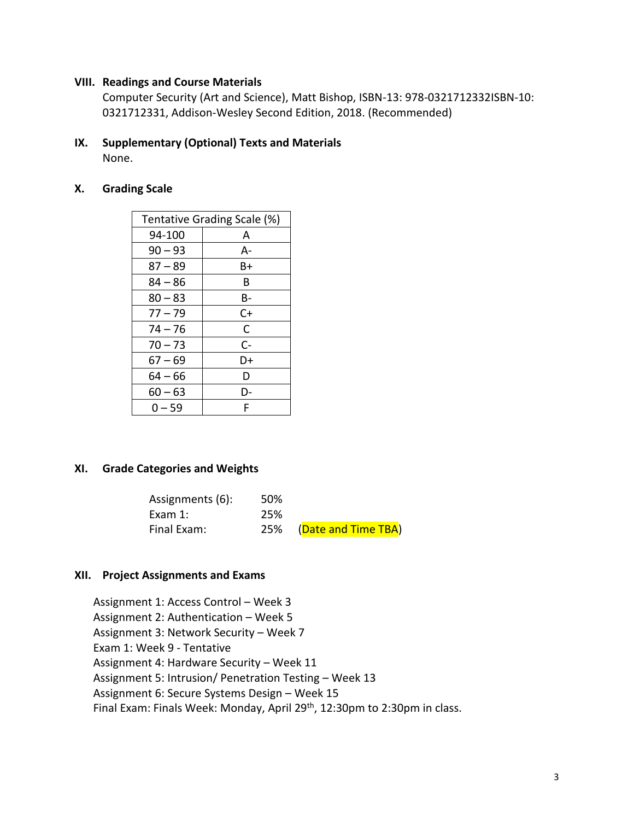#### **VIII. Readings and Course Materials**

Computer Security (Art and Science), Matt Bishop, ISBN-13: 978-0321712332ISBN-10: 0321712331, Addison-Wesley Second Edition, 2018. (Recommended)

**IX. Supplementary (Optional) Texts and Materials** None.

#### **X. Grading Scale**

| Tentative Grading Scale (%) |    |  |
|-----------------------------|----|--|
| 94-100                      | А  |  |
| $90 - 93$                   | А- |  |
| $87 - 89$                   | В+ |  |
| 84 – 86                     | В  |  |
| $80 - 83$                   | в- |  |
| $77 - 79$                   | C+ |  |
| $74 - 76$                   | C  |  |
| $70 - 73$                   | C- |  |
| 67 – 69                     | D+ |  |
| 64 – 66                     | D  |  |
| $60 - 63$                   | D- |  |
| $0 - 59$                    | F  |  |

#### **XI. Grade Categories and Weights**

| Assignments (6): | 50% |                         |
|------------------|-----|-------------------------|
| Exam 1:          | 25% |                         |
| Final Exam:      |     | 25% (Date and Time TBA) |

## **XII. Project Assignments and Exams**

Assignment 1: Access Control – Week 3 Assignment 2: Authentication – Week 5 Assignment 3: Network Security – Week 7 Exam 1: Week 9 - Tentative Assignment 4: Hardware Security – Week 11 Assignment 5: Intrusion/ Penetration Testing – Week 13 Assignment 6: Secure Systems Design – Week 15 Final Exam: Finals Week: Monday, April 29<sup>th</sup>, 12:30pm to 2:30pm in class.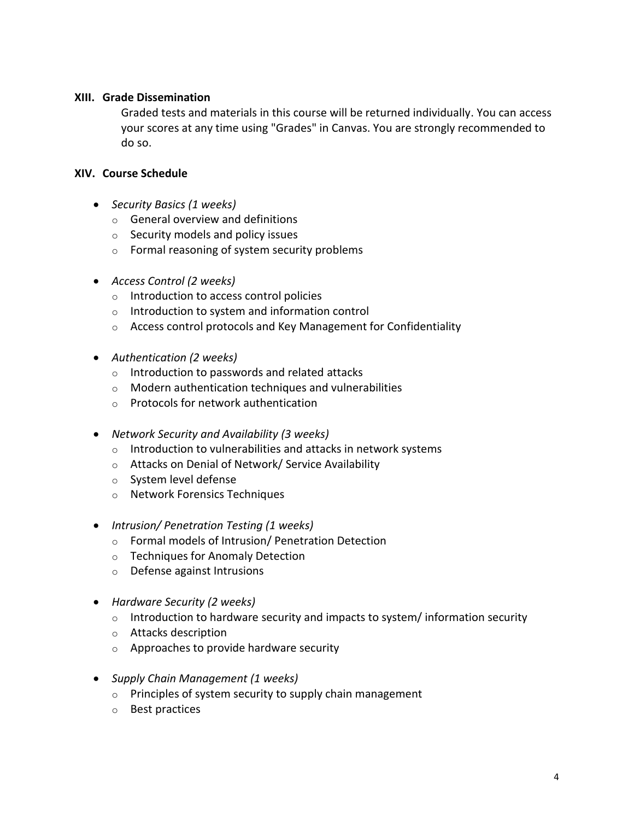## **XIII. Grade Dissemination**

Graded tests and materials in this course will be returned individually. You can access your scores at any time using "Grades" in Canvas. You are strongly recommended to do so.

## **XIV. Course Schedule**

- *Security Basics (1 weeks)*
	- $\circ$  General overview and definitions
	- o Security models and policy issues
	- o Formal reasoning of system security problems
- *Access Control (2 weeks)*
	- o Introduction to access control policies
	- o Introduction to system and information control
	- o Access control protocols and Key Management for Confidentiality
- *Authentication (2 weeks)*
	- o Introduction to passwords and related attacks
	- o Modern authentication techniques and vulnerabilities
	- o Protocols for network authentication
- *Network Security and Availability (3 weeks)*
	- o Introduction to vulnerabilities and attacks in network systems
	- o Attacks on Denial of Network/ Service Availability
	- o System level defense
	- o Network Forensics Techniques
- *Intrusion/ Penetration Testing (1 weeks)*
	- o Formal models of Intrusion/ Penetration Detection
	- o Techniques for Anomaly Detection
	- o Defense against Intrusions
- *Hardware Security (2 weeks)*
	- $\circ$  Introduction to hardware security and impacts to system/ information security
	- o Attacks description
	- o Approaches to provide hardware security
- *Supply Chain Management (1 weeks)*
	- o Principles of system security to supply chain management
	- o Best practices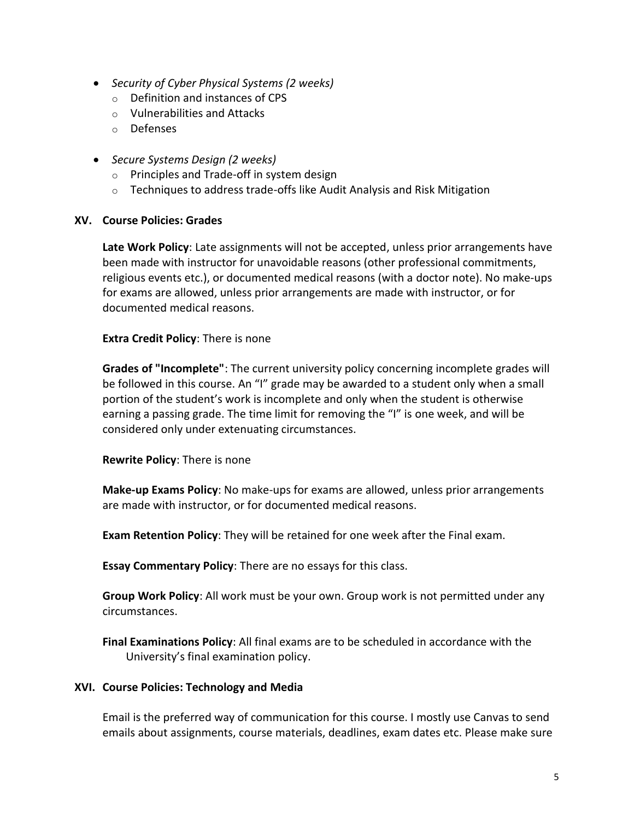- *Security of Cyber Physical Systems (2 weeks)*
	- o Definition and instances of CPS
	- o Vulnerabilities and Attacks
	- o Defenses
- *Secure Systems Design (2 weeks)*
	- o Principles and Trade-off in system design
	- o Techniques to address trade-offs like Audit Analysis and Risk Mitigation

# **XV. Course Policies: Grades**

**Late Work Policy**: Late assignments will not be accepted, unless prior arrangements have been made with instructor for unavoidable reasons (other professional commitments, religious events etc.), or documented medical reasons (with a doctor note). No make-ups for exams are allowed, unless prior arrangements are made with instructor, or for documented medical reasons.

**Extra Credit Policy**: There is none

**Grades of "Incomplete"**: The current university policy concerning incomplete grades will be followed in this course. An "I" grade may be awarded to a student only when a small portion of the student's work is incomplete and only when the student is otherwise earning a passing grade. The time limit for removing the "I" is one week, and will be considered only under extenuating circumstances.

**Rewrite Policy**: There is none

**Make-up Exams Policy**: No make-ups for exams are allowed, unless prior arrangements are made with instructor, or for documented medical reasons.

**Exam Retention Policy**: They will be retained for one week after the Final exam.

**Essay Commentary Policy**: There are no essays for this class.

**Group Work Policy**: All work must be your own. Group work is not permitted under any circumstances.

**Final Examinations Policy**: All final exams are to be scheduled in accordance with the University's final examination policy.

# **XVI. Course Policies: Technology and Media**

Email is the preferred way of communication for this course. I mostly use Canvas to send emails about assignments, course materials, deadlines, exam dates etc. Please make sure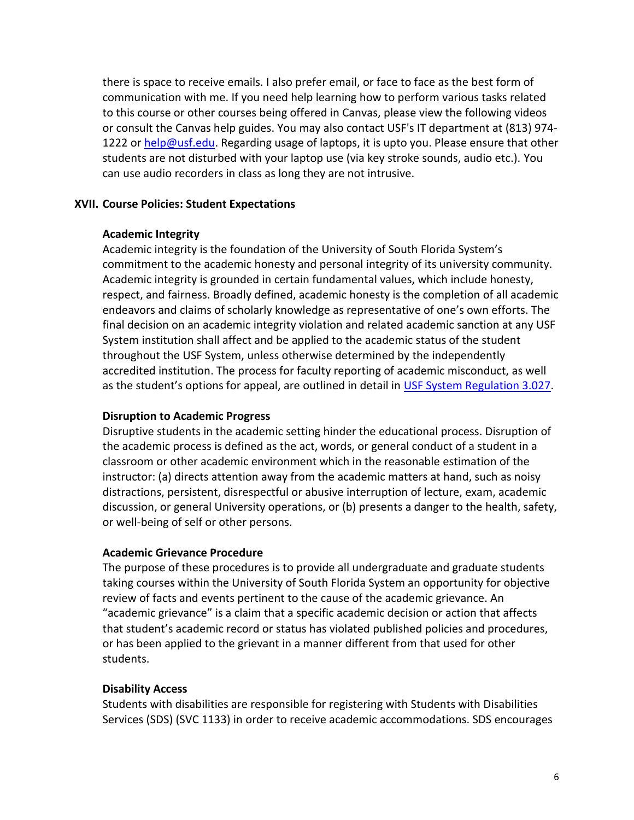there is space to receive emails. I also prefer email, or face to face as the best form of communication with me. If you need help learning how to perform various tasks related to this course or other courses being offered in Canvas, please view the following videos or consult the Canvas help guides. You may also contact USF's IT department at (813) 974 1222 or [help@usf.edu.](mailto:help@usf.edu) Regarding usage of laptops, it is upto you. Please ensure that other students are not disturbed with your laptop use (via key stroke sounds, audio etc.). You can use audio recorders in class as long they are not intrusive.

#### **XVII. Course Policies: Student Expectations**

#### **Academic Integrity**

Academic integrity is the foundation of the University of South Florida System's commitment to the academic honesty and personal integrity of its university community. Academic integrity is grounded in certain fundamental values, which include honesty, respect, and fairness. Broadly defined, academic honesty is the completion of all academic endeavors and claims of scholarly knowledge as representative of one's own efforts. The final decision on an academic integrity violation and related academic sanction at any USF System institution shall affect and be applied to the academic status of the student throughout the USF System, unless otherwise determined by the independently accredited institution. The process for faculty reporting of academic misconduct, as well as the student's options for appeal, are outlined in detail in [USF System Regulation 3.027.](http://regulationspolicies.usf.edu/regulations/pdfs/regulation-usf3.027.pdf)

#### **Disruption to Academic Progress**

Disruptive students in the academic setting hinder the educational process. Disruption of the academic process is defined as the act, words, or general conduct of a student in a classroom or other academic environment which in the reasonable estimation of the instructor: (a) directs attention away from the academic matters at hand, such as noisy distractions, persistent, disrespectful or abusive interruption of lecture, exam, academic discussion, or general University operations, or (b) presents a danger to the health, safety, or well-being of self or other persons.

#### **Academic Grievance Procedure**

The purpose of these procedures is to provide all undergraduate and graduate students taking courses within the University of South Florida System an opportunity for objective review of facts and events pertinent to the cause of the academic grievance. An "academic grievance" is a claim that a specific academic decision or action that affects that student's academic record or status has violated published policies and procedures, or has been applied to the grievant in a manner different from that used for other students.

#### **Disability Access**

Students with disabilities are responsible for registering with Students with Disabilities Services (SDS) (SVC 1133) in order to receive academic accommodations. SDS encourages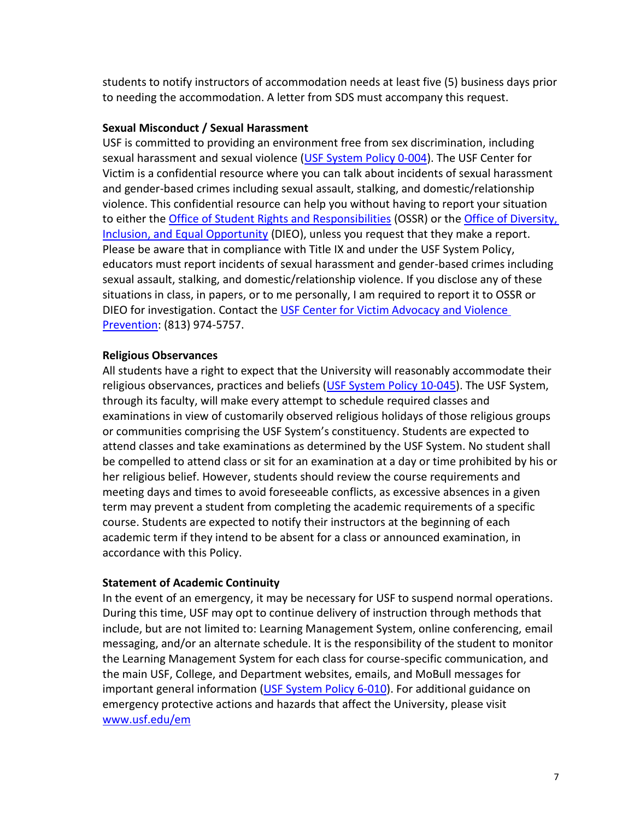students to notify instructors of accommodation needs at least five (5) business days prior to needing the accommodation. A letter from SDS must accompany this request.

## **Sexual Misconduct / Sexual Harassment**

USF is committed to providing an environment free from sex discrimination, including sexual harassment and sexual violence [\(USF System Policy 0-004\)](http://regulationspolicies.usf.edu/policies-and-procedures/pdfs/policy-0-004.pdf). The USF Center for Victim is a confidential resource where you can talk about incidents of sexual harassment and gender-based crimes including sexual assault, stalking, and domestic/relationship violence. This confidential resource can help you without having to report your situation to either the [Office of Student Rights and Responsibilities](https://www.usf.edu/student-affairs/student-rights-responsibilities/) (OSSR) or the Office of Diversity, [Inclusion, and Equal Opportunity](https://www.usf.edu/diversity/) (DIEO), unless you request that they make a report. Please be aware that in compliance with Title IX and under the USF System Policy, educators must report incidents of sexual harassment and gender-based crimes including sexual assault, stalking, and domestic/relationship violence. If you disclose any of these situations in class, in papers, or to me personally, I am required to report it to OSSR or DIEO for investigation. Contact the [USF Center for Victim Advocacy and Violence](https://www.usf.edu/student-affairs/victim-advocacy/)  [Prevention:](https://www.usf.edu/student-affairs/victim-advocacy/) (813) 974-5757.

## **Religious Observances**

All students have a right to expect that the University will reasonably accommodate their religious observances, practices and beliefs (USF System [Policy 10-045\)](http://regulationspolicies.usf.edu/policies-and-procedures/pdfs/policy-10-045.pdf). The USF System, through its faculty, will make every attempt to schedule required classes and examinations in view of customarily observed religious holidays of those religious groups or communities comprising the USF System's constituency. Students are expected to attend classes and take examinations as determined by the USF System. No student shall be compelled to attend class or sit for an examination at a day or time prohibited by his or her religious belief. However, students should review the course requirements and meeting days and times to avoid foreseeable conflicts, as excessive absences in a given term may prevent a student from completing the academic requirements of a specific course. Students are expected to notify their instructors at the beginning of each academic term if they intend to be absent for a class or announced examination, in accordance with this Policy.

#### **Statement of Academic Continuity**

In the event of an emergency, it may be necessary for USF to suspend normal operations. During this time, USF may opt to continue delivery of instruction through methods that include, but are not limited to: Learning Management System, online conferencing, email messaging, and/or an alternate schedule. It is the responsibility of the student to monitor the Learning Management System for each class for course-specific communication, and the main USF, College, and Department websites, emails, and MoBull messages for important general information [\(USF System Policy 6-010\)](http://regulationspolicies.usf.edu/policies-and-procedures/pdfs/policy-6-010.pdf). For additional guidance on emergency protective actions and hazards that affect the University, please visit [www.usf.edu/em](http://www.usf.edu/em)